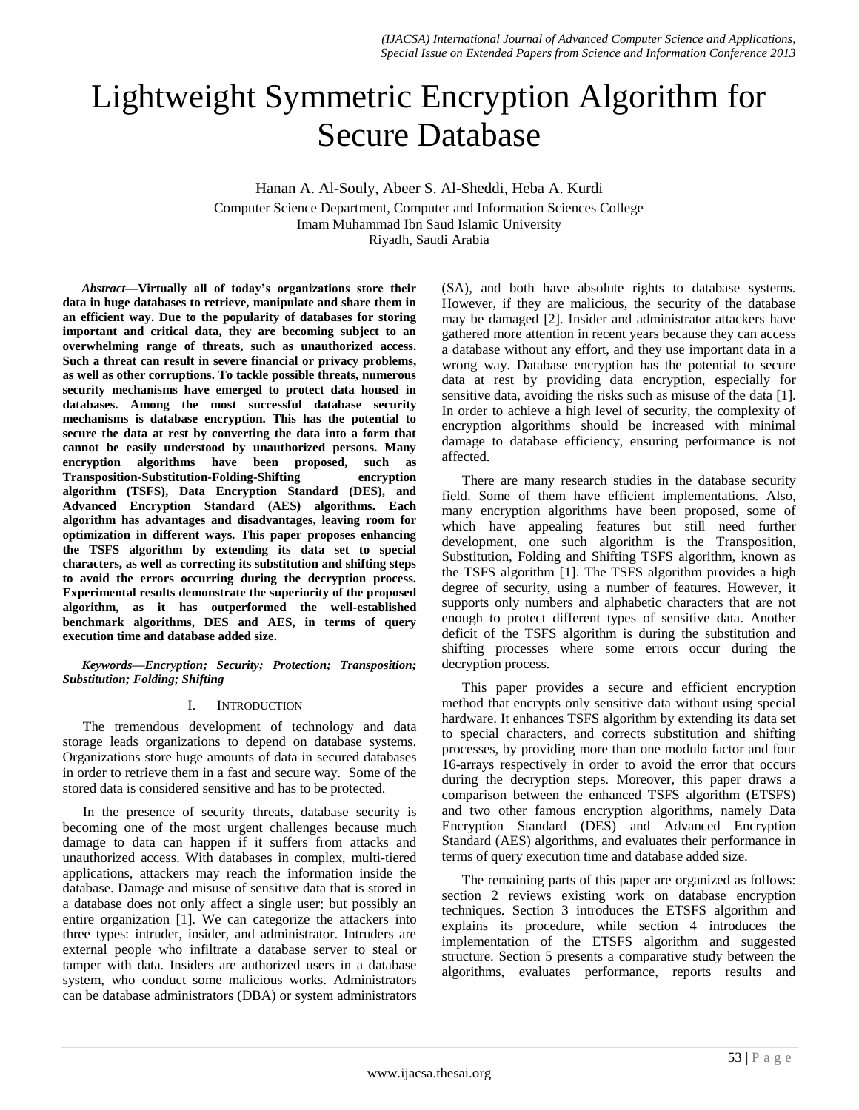# Lightweight Symmetric Encryption Algorithm for Secure Database

Hanan A. Al-Souly, Abeer S. Al-Sheddi, Heba A. Kurdi Computer Science Department, Computer and Information Sciences College Imam Muhammad Ibn Saud Islamic University Riyadh, Saudi Arabia

*Abstract***—Virtually all of today's organizations store their data in huge databases to retrieve, manipulate and share them in an efficient way. Due to the popularity of databases for storing important and critical data, they are becoming subject to an overwhelming range of threats, such as unauthorized access. Such a threat can result in severe financial or privacy problems, as well as other corruptions. To tackle possible threats, numerous security mechanisms have emerged to protect data housed in databases. Among the most successful database security mechanisms is database encryption. This has the potential to secure the data at rest by converting the data into a form that cannot be easily understood by unauthorized persons. Many encryption algorithms have been proposed, such as Transposition-Substitution-Folding-Shifting encryption algorithm (TSFS), Data Encryption Standard (DES), and Advanced Encryption Standard (AES) algorithms. Each algorithm has advantages and disadvantages, leaving room for optimization in different ways. This paper proposes enhancing the TSFS algorithm by extending its data set to special characters, as well as correcting its substitution and shifting steps to avoid the errors occurring during the decryption process. Experimental results demonstrate the superiority of the proposed algorithm, as it has outperformed the well-established benchmark algorithms, DES and AES, in terms of query execution time and database added size.**

*Keywords—Encryption; Security; Protection; Transposition; Substitution; Folding; Shifting*

## I. INTRODUCTION

The tremendous development of technology and data storage leads organizations to depend on database systems. Organizations store huge amounts of data in secured databases in order to retrieve them in a fast and secure way. Some of the stored data is considered sensitive and has to be protected.

In the presence of security threats, database security is becoming one of the most urgent challenges because much damage to data can happen if it suffers from attacks and unauthorized access. With databases in complex, multi-tiered applications, attackers may reach the information inside the database. Damage and misuse of sensitive data that is stored in a database does not only affect a single user; but possibly an entire organization [1]. We can categorize the attackers into three types: intruder, insider, and administrator. Intruders are external people who infiltrate a database server to steal or tamper with data. Insiders are authorized users in a database system, who conduct some malicious works. Administrators can be database administrators (DBA) or system administrators

(SA), and both have absolute rights to database systems. However, if they are malicious, the security of the database may be damaged [2]. Insider and administrator attackers have gathered more attention in recent years because they can access a database without any effort, and they use important data in a wrong way. Database encryption has the potential to secure data at rest by providing data encryption, especially for sensitive data, avoiding the risks such as misuse of the data [1]. In order to achieve a high level of security, the complexity of encryption algorithms should be increased with minimal damage to database efficiency, ensuring performance is not affected.

There are many research studies in the database security field. Some of them have efficient implementations. Also, many encryption algorithms have been proposed, some of which have appealing features but still need further development, one such algorithm is the Transposition, Substitution, Folding and Shifting TSFS algorithm, known as the TSFS algorithm [1]. The TSFS algorithm provides a high degree of security, using a number of features. However, it supports only numbers and alphabetic characters that are not enough to protect different types of sensitive data. Another deficit of the TSFS algorithm is during the substitution and shifting processes where some errors occur during the decryption process.

This paper provides a secure and efficient encryption method that encrypts only sensitive data without using special hardware. It enhances TSFS algorithm by extending its data set to special characters, and corrects substitution and shifting processes, by providing more than one modulo factor and four 16-arrays respectively in order to avoid the error that occurs during the decryption steps. Moreover, this paper draws a comparison between the enhanced TSFS algorithm (ETSFS) and two other famous encryption algorithms, namely Data Encryption Standard (DES) and Advanced Encryption Standard (AES) algorithms, and evaluates their performance in terms of query execution time and database added size.

The remaining parts of this paper are organized as follows: section 2 reviews existing work on database encryption techniques. Section 3 introduces the ETSFS algorithm and explains its procedure, while section 4 introduces the implementation of the ETSFS algorithm and suggested structure. Section 5 presents a comparative study between the algorithms, evaluates performance, reports results and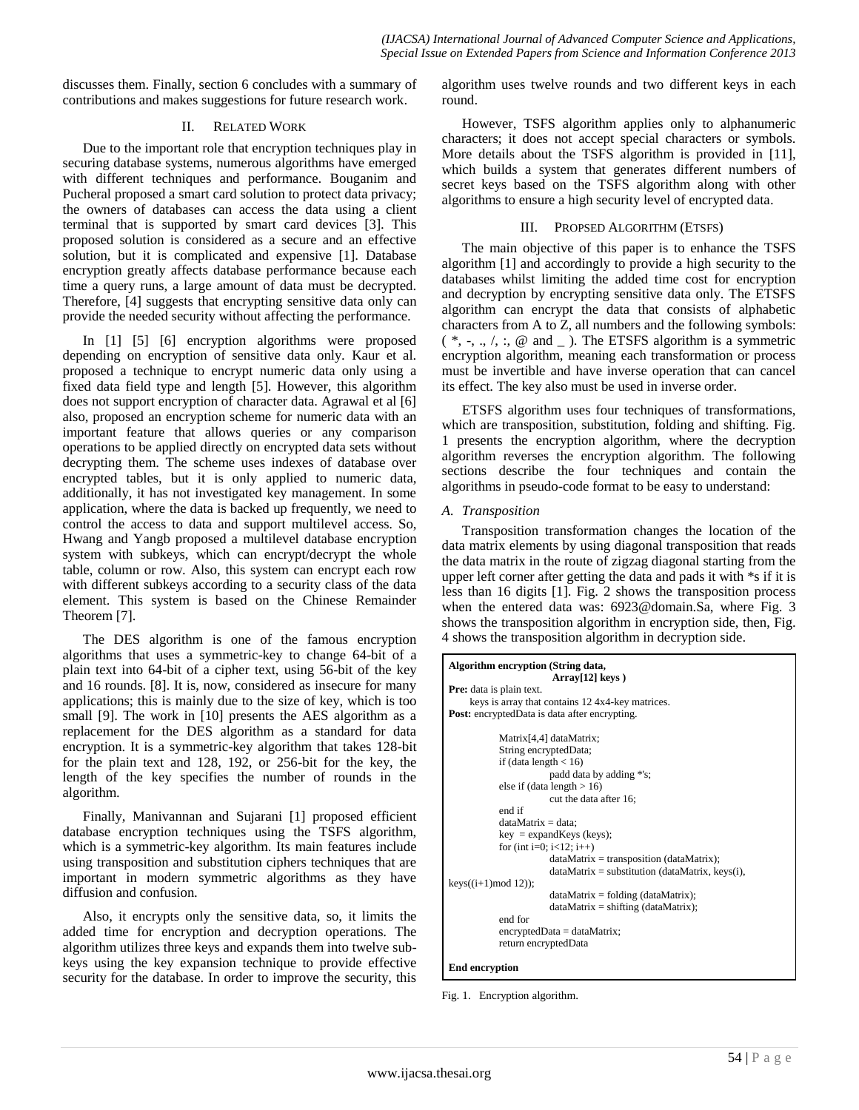discusses them. Finally, section 6 concludes with a summary of contributions and makes suggestions for future research work.

## II. RELATED WORK

Due to the important role that encryption techniques play in securing database systems, numerous algorithms have emerged with different techniques and performance. Bouganim and Pucheral proposed a smart card solution to protect data privacy; the owners of databases can access the data using a client terminal that is supported by smart card devices [3]. This proposed solution is considered as a secure and an effective solution, but it is complicated and expensive [1]. Database encryption greatly affects database performance because each time a query runs, a large amount of data must be decrypted. Therefore, [4] suggests that encrypting sensitive data only can provide the needed security without affecting the performance.

In [1] [5] [6] encryption algorithms were proposed depending on encryption of sensitive data only. Kaur et al. proposed a technique to encrypt numeric data only using a fixed data field type and length [5]. However, this algorithm does not support encryption of character data. Agrawal et al [6] also, proposed an encryption scheme for numeric data with an important feature that allows queries or any comparison operations to be applied directly on encrypted data sets without decrypting them. The scheme uses indexes of database over encrypted tables, but it is only applied to numeric data, additionally, it has not investigated key management. In some application, where the data is backed up frequently, we need to control the access to data and support multilevel access. So, Hwang and Yangb proposed a multilevel database encryption system with subkeys, which can encrypt/decrypt the whole table, column or row. Also, this system can encrypt each row with different subkeys according to a security class of the data element. This system is based on the Chinese Remainder Theorem [7].

The DES algorithm is one of the famous encryption algorithms that uses a symmetric-key to change 64-bit of a plain text into 64-bit of a cipher text, using 56-bit of the key and 16 rounds. [8]. It is, now, considered as insecure for many applications; this is mainly due to the size of key, which is too small [9]. The work in [10] presents the AES algorithm as a replacement for the DES algorithm as a standard for data encryption. It is a symmetric-key algorithm that takes 128-bit for the plain text and 128, 192, or 256-bit for the key, the length of the key specifies the number of rounds in the algorithm.

Finally, Manivannan and Sujarani [1] proposed efficient database encryption techniques using the TSFS algorithm, which is a symmetric-key algorithm. Its main features include using transposition and substitution ciphers techniques that are important in modern symmetric algorithms as they have diffusion and confusion.

Also, it encrypts only the sensitive data, so, it limits the added time for encryption and decryption operations. The algorithm utilizes three keys and expands them into twelve subkeys using the key expansion technique to provide effective security for the database. In order to improve the security, this algorithm uses twelve rounds and two different keys in each round.

However, TSFS algorithm applies only to alphanumeric characters; it does not accept special characters or symbols. More details about the TSFS algorithm is provided in [11], which builds a system that generates different numbers of secret keys based on the TSFS algorithm along with other algorithms to ensure a high security level of encrypted data.

## III. PROPSED ALGORITHM (ETSFS)

The main objective of this paper is to enhance the TSFS algorithm [1] and accordingly to provide a high security to the databases whilst limiting the added time cost for encryption and decryption by encrypting sensitive data only. The ETSFS algorithm can encrypt the data that consists of alphabetic characters from A to Z, all numbers and the following symbols:  $(*, -, \ldots), :$ ,  $@$  and  $\ldots$ ). The ETSFS algorithm is a symmetric encryption algorithm, meaning each transformation or process must be invertible and have inverse operation that can cancel its effect. The key also must be used in inverse order.

ETSFS algorithm uses four techniques of transformations, which are transposition, substitution, folding and shifting. Fig. 1 presents the encryption algorithm, where the decryption algorithm reverses the encryption algorithm. The following sections describe the four techniques and contain the algorithms in pseudo-code format to be easy to understand:

## *A. Transposition*

Transposition transformation changes the location of the data matrix elements by using diagonal transposition that reads the data matrix in the route of zigzag diagonal starting from the upper left corner after getting the data and pads it with \*s if it is less than 16 digits [1]. Fig. 2 shows the transposition process when the entered data was: 6923@domain.Sa, where Fig. 3 shows the transposition algorithm in encryption side, then, Fig. 4 shows the transposition algorithm in decryption side.

| Algorithm encryption (String data,<br>Array[12] keys) |
|-------------------------------------------------------|
| <b>Pre:</b> data is plain text.                       |
| keys is array that contains 12 4x4-key matrices.      |
| <b>Post:</b> encryptedData is data after encrypting.  |
|                                                       |
| Matrix <sup>[4,4]</sup> dataMatrix;                   |
| String encryptedData;                                 |
| if (data length $< 16$ )                              |
| padd data by adding *'s;                              |
| else if (data length $> 16$ )                         |
| cut the data after 16;                                |
| end if                                                |
| $dataMatrix = data$ :                                 |
| $key = expandKeys$ (keys);                            |
| for (int i=0; $i<12$ ; $i++$ )                        |
| $dataMatrix = transposition (dataMatrix);$            |
| $dataMatrix = substitution (dataMatrix, keys(i),$     |
| $keys((i+1)mod 12))$ ;                                |
| $dataMatrix = folding (dataMatrix);$                  |
| $dataMatrix = shifting (dataMatrix);$                 |
| end for                                               |
| $\text{encryptedData} = \text{dataMatrix};$           |
| return encryptedData                                  |

#### **End encryption**

Fig. 1. Encryption algorithm.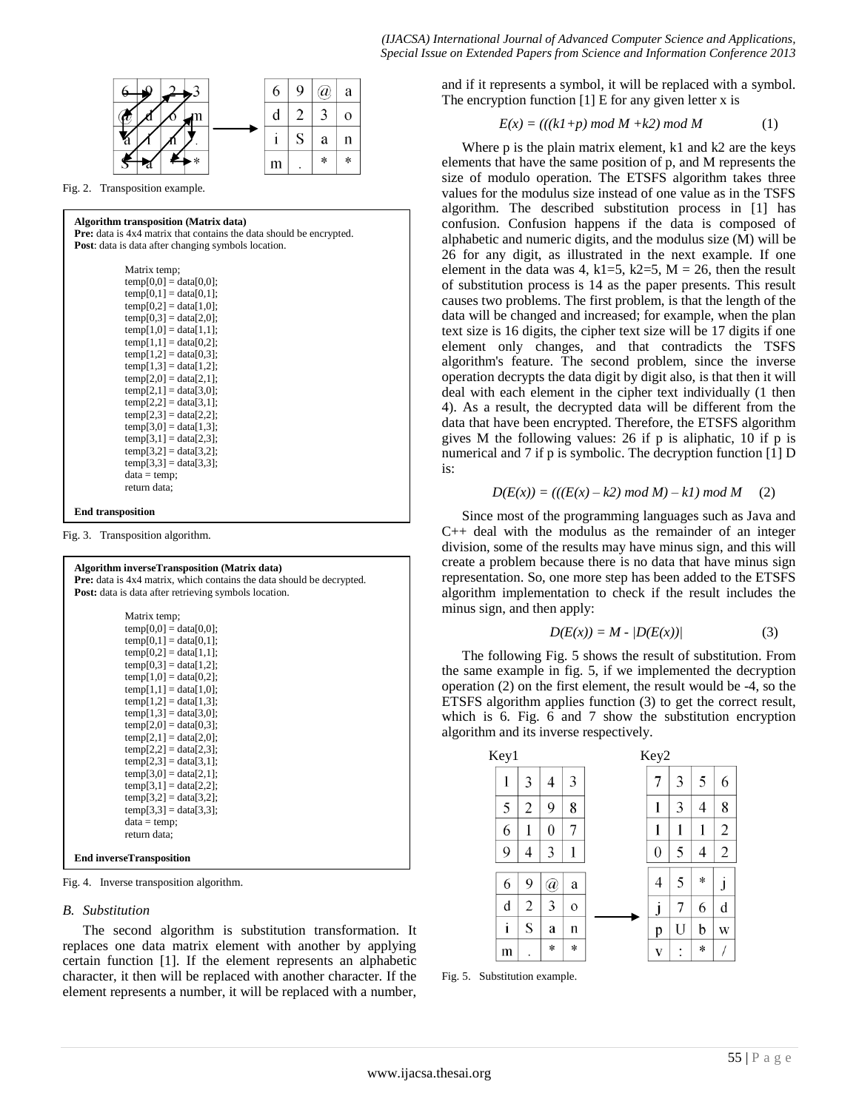

Fig. 2. Transposition example.

## **Algorithm transposition (Matrix data)**

**Pre:** data is 4x4 matrix that contains the data should be encrypted. **Post**: data is data after changing symbols location.

| Matrix temp;             |
|--------------------------|
| $temp[0,0] = data[0,0];$ |
| $temp[0,1] = data[0,1];$ |
| $temp[0,2] = data[1,0];$ |
| $temp[0,3] = data[2,0];$ |
| $temp[1,0] = data[1,1];$ |
| $temp[1,1] = data[0,2];$ |
| $temp[1,2] = data[0,3];$ |
| $temp[1,3] = data[1,2];$ |
| $temp[2,0] = data[2,1];$ |
| $temp[2,1] = data[3,0];$ |
| $temp[2,2] = data[3,1];$ |
| $temp[2,3] = data[2,2];$ |
| $temp[3,0] = data[1,3];$ |
| $temp[3,1] = data[2,3];$ |
| $temp[3,2] = data[3,2];$ |
| $temp[3,3] = data[3,3];$ |
| $data = temp;$           |
| return data;             |
|                          |

#### **End transposition**

Fig. 3. Transposition algorithm.

| <b>Algorithm inverseTransposition (Matrix data)</b><br>Pre: data is 4x4 matrix, which contains the data should be decrypted.<br><b>Post:</b> data is data after retrieving symbols location. |  |
|----------------------------------------------------------------------------------------------------------------------------------------------------------------------------------------------|--|
| Matrix temp;<br>$temp[0,0] = data[0,0];$<br>$temp[0,1] = data[0,1];$<br>$temp[0,2] = data[1,1];$                                                                                             |  |
| $temp[0,3] = data[1,2];$<br>$temp[1,0] = data[0,2];$<br>$temp[1,1] = data[1,0];$<br>$temp[1,2] = data[1,3];$<br>$temp[1,3] = data[3,0];$                                                     |  |
| $temp[2,0] = data[0,3];$<br>$temp[2,1] = data[2,0];$<br>$temp[2,2] = data[2,3];$<br>$temp[2,3] = data[3,1];$<br>$temp[3,0] = data[2,1];$                                                     |  |
| $temp[3,1] = data[2,2];$<br>$temp[3,2] = data[3,2];$<br>$temp[3,3] = data[3,3];$<br>$data = temp;$<br>return data;                                                                           |  |
| <b>End inverseTransposition</b>                                                                                                                                                              |  |

Fig. 4. Inverse transposition algorithm.

#### *B. Substitution*

The second algorithm is substitution transformation. It replaces one data matrix element with another by applying certain function [1]. If the element represents an alphabetic character, it then will be replaced with another character. If the element represents a number, it will be replaced with a number, and if it represents a symbol, it will be replaced with a symbol. The encryption function  $[1]$  E for any given letter x is

$$
E(x) = (((k1+p) mod M + k2) mod M \tag{1}
$$

Where p is the plain matrix element, k1 and k2 are the keys elements that have the same position of p, and M represents the size of modulo operation. The ETSFS algorithm takes three values for the modulus size instead of one value as in the TSFS algorithm. The described substitution process in [1] has confusion. Confusion happens if the data is composed of alphabetic and numeric digits, and the modulus size (M) will be 26 for any digit, as illustrated in the next example. If one element in the data was 4, k1=5, k2=5, M = 26, then the result of substitution process is 14 as the paper presents. This result causes two problems. The first problem, is that the length of the data will be changed and increased; for example, when the plan text size is 16 digits, the cipher text size will be 17 digits if one element only changes, and that contradicts the TSFS algorithm's feature. The second problem, since the inverse operation decrypts the data digit by digit also, is that then it will deal with each element in the cipher text individually (1 then 4). As a result, the decrypted data will be different from the data that have been encrypted. Therefore, the ETSFS algorithm gives M the following values: 26 if p is aliphatic, 10 if p is numerical and 7 if p is symbolic. The decryption function [1] D is:

$$
D(E(x)) = (((E(x) - k2) \mod M) - k1) \mod M \tag{2}
$$

Since most of the programming languages such as Java and C++ deal with the modulus as the remainder of an integer division, some of the results may have minus sign, and this will create a problem because there is no data that have minus sign representation. So, one more step has been added to the ETSFS algorithm implementation to check if the result includes the minus sign, and then apply:

$$
D(E(x)) = M - \langle D(E(x)) \rangle \tag{3}
$$

The following Fig. 5 shows the result of substitution. From the same example in fig. 5, if we implemented the decryption operation (2) on the first element, the result would be -4, so the ETSFS algorithm applies function (3) to get the correct result, which is 6. Fig. 6 and 7 show the substitution encryption algorithm and its inverse respectively.



Fig. 5. Substitution example.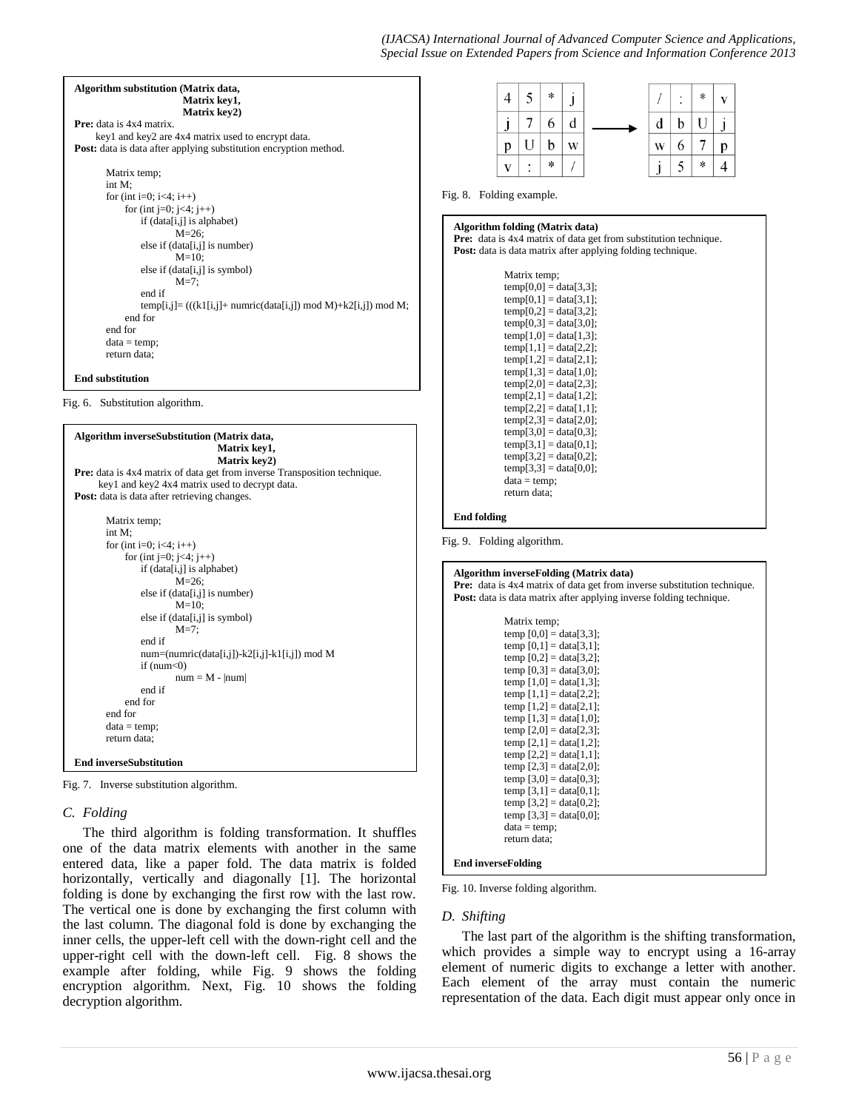

end for end for  $data = temp$ : return data;

**End inverseSubstitution**

Fig. 7. Inverse substitution algorithm.

## *C. Folding*

The third algorithm is folding transformation. It shuffles one of the data matrix elements with another in the same entered data, like a paper fold. The data matrix is folded horizontally, vertically and diagonally [1]. The horizontal folding is done by exchanging the first row with the last row. The vertical one is done by exchanging the first column with the last column. The diagonal fold is done by exchanging the inner cells, the upper-left cell with the down-right cell and the upper-right cell with the down-left cell. Fig. 8 shows the example after folding, while Fig. 9 shows the folding encryption algorithm. Next, Fig. 10 shows the folding decryption algorithm.

Fig. 10. Inverse folding algorithm.

**End inverseFolding**

temp  $[1,1] = \text{data}[2,2]$ ; temp  $[1,2] = \text{data}[2,1]$ ; temp  $[1,3] = \text{data}[1,0]$ ; temp  $[2.0]$  = data $[2.3]$ : temp  $[2,1] = \text{data}[1,2]$ ; temp  $[2,2] = \text{data}[1,1];$ temp  $[2,3] = \frac{data[2,0]}{;}$ temp  $[3,0] = \text{data}[0,3];$ temp  $[3,1] = data[0,1]$ ;  $temp [3,2] = data[0,2];$ temp  $[3,3] = \text{data}[0,0];$  $data = temp;$ return data;

#### *D. Shifting*

The last part of the algorithm is the shifting transformation, which provides a simple way to encrypt using a 16-array element of numeric digits to exchange a letter with another. Each element of the array must contain the numeric representation of the data. Each digit must appear only once in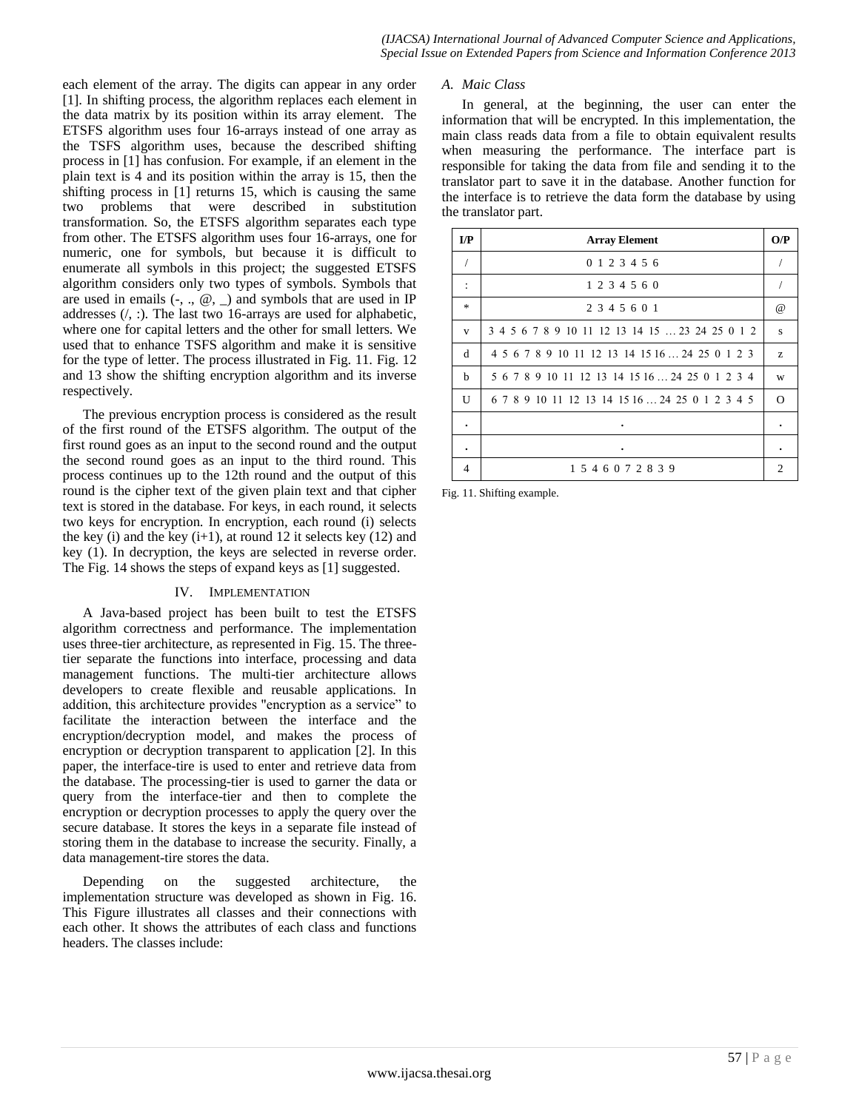each element of the array. The digits can appear in any order [1]. In shifting process, the algorithm replaces each element in the data matrix by its position within its array element. The ETSFS algorithm uses four 16-arrays instead of one array as the TSFS algorithm uses, because the described shifting process in [1] has confusion. For example, if an element in the plain text is 4 and its position within the array is 15, then the shifting process in [1] returns 15, which is causing the same two problems that were described in substitution transformation. So, the ETSFS algorithm separates each type from other. The ETSFS algorithm uses four 16-arrays, one for numeric, one for symbols, but because it is difficult to enumerate all symbols in this project; the suggested ETSFS algorithm considers only two types of symbols. Symbols that are used in emails  $\left(\text{-}, \cdot, \varnothing, \cdot\right)$  and symbols that are used in IP addresses (/, :). The last two 16-arrays are used for alphabetic, where one for capital letters and the other for small letters. We used that to enhance TSFS algorithm and make it is sensitive for the type of letter. The process illustrated in Fig. 11. Fig. 12 and 13 show the shifting encryption algorithm and its inverse respectively.

The previous encryption process is considered as the result of the first round of the ETSFS algorithm. The output of the first round goes as an input to the second round and the output the second round goes as an input to the third round. This process continues up to the 12th round and the output of this round is the cipher text of the given plain text and that cipher text is stored in the database. For keys, in each round, it selects two keys for encryption. In encryption, each round (i) selects the key (i) and the key  $(i+1)$ , at round 12 it selects key  $(12)$  and key (1). In decryption, the keys are selected in reverse order. The Fig. 14 shows the steps of expand keys as [1] suggested.

## IV. IMPLEMENTATION

A Java-based project has been built to test the ETSFS algorithm correctness and performance. The implementation uses three-tier architecture, as represented in Fig. 15. The threetier separate the functions into interface, processing and data management functions. The multi-tier architecture allows developers to create flexible and reusable applications. In addition, this architecture provides "encryption as a service" to facilitate the interaction between the interface and the encryption/decryption model, and makes the process of encryption or decryption transparent to application [2]. In this paper, the interface-tire is used to enter and retrieve data from the database. The processing-tier is used to garner the data or query from the interface-tier and then to complete the encryption or decryption processes to apply the query over the secure database. It stores the keys in a separate file instead of storing them in the database to increase the security. Finally, a data management-tire stores the data.

Depending on the suggested architecture, the implementation structure was developed as shown in Fig. 16. This Figure illustrates all classes and their connections with each other. It shows the attributes of each class and functions headers. The classes include:

#### *A. Maic Class*

In general, at the beginning, the user can enter the information that will be encrypted. In this implementation, the main class reads data from a file to obtain equivalent results when measuring the performance. The interface part is responsible for taking the data from file and sending it to the translator part to save it in the database. Another function for the interface is to retrieve the data form the database by using the translator part.

| $\mathbf{I}/\mathbf{P}$ | <b>Array Element</b>                            | O/P      |
|-------------------------|-------------------------------------------------|----------|
| $\sqrt{2}$              | 0 1 2 3 4 5 6                                   |          |
| $\ddot{\cdot}$          | 1 2 3 4 5 6 0                                   |          |
| $\ast$                  | 2 3 4 5 6 0 1                                   | $\omega$ |
| $\mathbf{V}$            | 3 4 5 6 7 8 9 10 11 12 13 14 15  23 24 25 0 1 2 | S        |
| d                       | 4 5 6 7 8 9 10 11 12 13 14 15 16  24 25 0 1 2 3 | Z.       |
| h                       | 5 6 7 8 9 10 11 12 13 14 15 16  24 25 0 1 2 3 4 | W        |
| U                       | 6 7 8 9 10 11 12 13 14 15 16  24 25 0 1 2 3 4 5 | $\Omega$ |
| ٠                       | ٠                                               |          |
|                         |                                                 |          |
| 4                       | 1 5 4 6 0 7 2 8 3 9                             | 2        |

Fig. 11. Shifting example.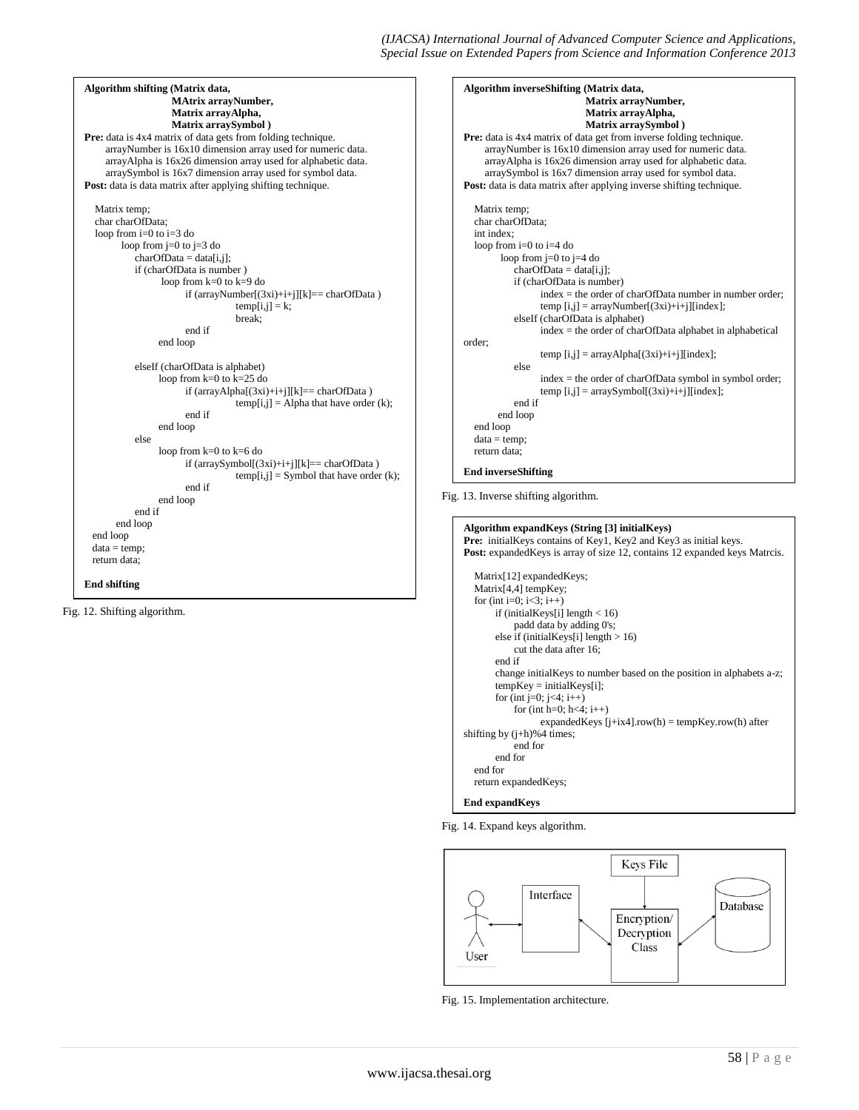*(IJACSA) International Journal of Advanced Computer Science and Applications, Special Issue on Extended Papers from Science and Information Conference 2013*

| Algorithm shifting (Matrix data,                                    |
|---------------------------------------------------------------------|
| <b>MAtrix arrayNumber,</b>                                          |
| Matrix arrayAlpha,                                                  |
| Matrix arraySymbol)                                                 |
| <b>Pre:</b> data is 4x4 matrix of data gets from folding technique. |
| arrayNumber is 16x10 dimension array used for numeric data.         |
| arrayAlpha is 16x26 dimension array used for alphabetic data.       |
| arraySymbol is 16x7 dimension array used for symbol data.           |
| <b>Post:</b> data is data matrix after applying shifting technique. |
|                                                                     |
| Matrix temp;                                                        |
| char charOfData;                                                    |
| loop from $i=0$ to $i=3$ do                                         |
| loop from $j=0$ to $j=3$ do                                         |
| $charOfData = data[i, j];$                                          |
| if (charOfData is number)                                           |
| loop from $k=0$ to $k=9$ do                                         |
| if (arrayNumber[(3xi)+i+j][k]== charOfData)                         |
| $temp[i,j] = k;$                                                    |
| break:                                                              |
| end if                                                              |
| end loop                                                            |
| elseIf (charOfData is alphabet)                                     |
| loop from $k=0$ to $k=25$ do                                        |
| if $(\arctan\lambda \ln(a)(3xi)+i+j  k  == \text{charOfData})$      |
| $temp[i,j] = Alpha that have order (k);$                            |
| end if                                                              |
| end loop                                                            |
| else                                                                |
| loop from $k=0$ to $k=6$ do                                         |
| if (arraySymbol[(3xi)+i+j][k]== charOfData)                         |
| $temp[i,j]$ = Symbol that have order (k);                           |
| end if                                                              |
| end loop                                                            |
| end if                                                              |
| end loop                                                            |
| end loop                                                            |
| $data = temp;$                                                      |
| return data:                                                        |
|                                                                     |
| <b>End shifting</b>                                                 |

Fig. 12. Shifting algorithm.

**Algorithm inverseShifting (Matrix data, Matrix arrayNumber, Matrix arrayAlpha, Matrix arraySymbol ) Pre:** data is 4x4 matrix of data get from inverse folding technique. arrayNumber is 16x10 dimension array used for numeric data. arrayAlpha is 16x26 dimension array used for alphabetic data. arraySymbol is 16x7 dimension array used for symbol data. Post: data is data matrix after applying inverse shifting technique. Matrix temp; char charOfData; int index; loop from i=0 to i=4 do loop from j=0 to j=4 do  $charOfData = data[i,j];$ if (charOfData is number) index = the order of charOfData number in number order; temp [i,j] = arrayNumber[(3xi)+i+j][index]; elseIf (charOfData is alphabet) index = the order of charOfData alphabet in alphabetical order; temp [i,j] = arrayAlpha[(3xi)+i+j][index]; else index = the order of charOfData symbol in symbol order; temp [i,j] = arraySymbol[(3xi)+i+j][index]; end if end loop end loop  $data = temp;$  return data; **End inverseShifting**

Fig. 13. Inverse shifting algorithm.

```
Algorithm expandKeys (String [3] initialKeys)
Pre: initialKeys contains of Key1, Key2 and Key3 as initial keys.
Post: expandedKeys is array of size 12, contains 12 expanded keys Matrcis.
   Matrix[12] expandedKeys;
  Matrix<sup>[4,4]</sup> tempKey;
  for (int i=0; i<3; i++)
        if (initialKeys[i] length < 16)
            padd data by adding 0's;
        else if (initialKeys[i] length > 16)
            cut the data after 16;
        end if
        change initialKeys to number based on the position in alphabets a-z;
       tempKey = initialKeys[i];for (int j=0; j<4; i++)
            for (int h=0; h<4; i++)
                  expandedKeys [j+ix4].row(h) = tempKeyrow(h) after
shifting by (j+h)%4 times;
            end for
        end for
   end for
   return expandedKeys;
End expandKeys
```
Fig. 14. Expand keys algorithm.



Fig. 15. Implementation architecture.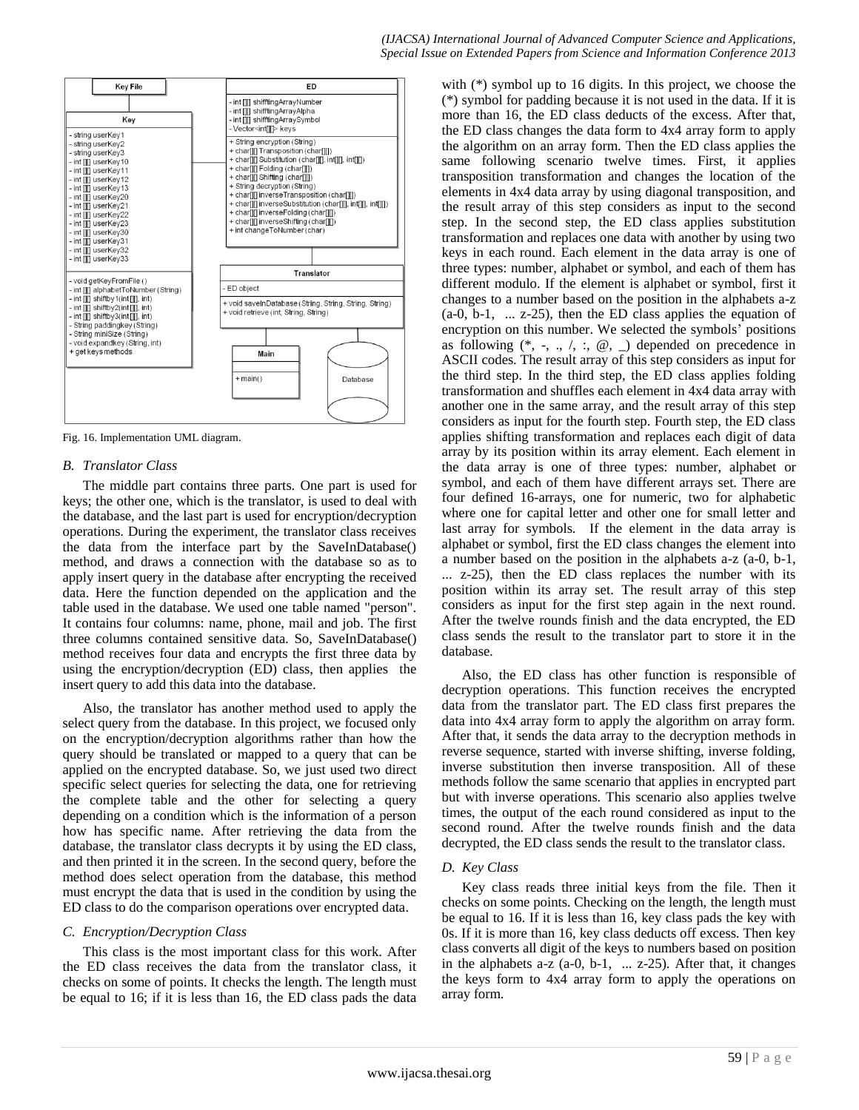

Fig. 16. Implementation UML diagram.

## *B. Translator Class*

The middle part contains three parts. One part is used for keys; the other one, which is the translator, is used to deal with the database, and the last part is used for encryption/decryption operations. During the experiment, the translator class receives the data from the interface part by the SaveInDatabase() method, and draws a connection with the database so as to apply insert query in the database after encrypting the received data. Here the function depended on the application and the table used in the database. We used one table named "person". It contains four columns: name, phone, mail and job. The first three columns contained sensitive data. So, SaveInDatabase() method receives four data and encrypts the first three data by using the encryption/decryption (ED) class, then applies the insert query to add this data into the database.

Also, the translator has another method used to apply the select query from the database. In this project, we focused only on the encryption/decryption algorithms rather than how the query should be translated or mapped to a query that can be applied on the encrypted database. So, we just used two direct specific select queries for selecting the data, one for retrieving the complete table and the other for selecting a query depending on a condition which is the information of a person how has specific name. After retrieving the data from the database, the translator class decrypts it by using the ED class, and then printed it in the screen. In the second query, before the method does select operation from the database, this method must encrypt the data that is used in the condition by using the ED class to do the comparison operations over encrypted data.

## *C. Encryption/Decryption Class*

This class is the most important class for this work. After the ED class receives the data from the translator class, it checks on some of points. It checks the length. The length must be equal to 16; if it is less than 16, the ED class pads the data with (\*) symbol up to 16 digits. In this project, we choose the (\*) symbol for padding because it is not used in the data. If it is more than 16, the ED class deducts of the excess. After that, the ED class changes the data form to 4x4 array form to apply the algorithm on an array form. Then the ED class applies the same following scenario twelve times. First, it applies transposition transformation and changes the location of the elements in 4x4 data array by using diagonal transposition, and the result array of this step considers as input to the second step. In the second step, the ED class applies substitution transformation and replaces one data with another by using two keys in each round. Each element in the data array is one of three types: number, alphabet or symbol, and each of them has different modulo. If the element is alphabet or symbol, first it changes to a number based on the position in the alphabets a-z  $(a-0, b-1, \ldots z-25)$ , then the ED class applies the equation of encryption on this number. We selected the symbols' positions as following  $(*, -, \ldots, ', :, @, \ldots)$  depended on precedence in ASCII codes. The result array of this step considers as input for the third step. In the third step, the ED class applies folding transformation and shuffles each element in 4x4 data array with another one in the same array, and the result array of this step considers as input for the fourth step. Fourth step, the ED class applies shifting transformation and replaces each digit of data array by its position within its array element. Each element in the data array is one of three types: number, alphabet or symbol, and each of them have different arrays set. There are four defined 16-arrays, one for numeric, two for alphabetic where one for capital letter and other one for small letter and last array for symbols. If the element in the data array is alphabet or symbol, first the ED class changes the element into a number based on the position in the alphabets a-z (a-0, b-1, ... z-25), then the ED class replaces the number with its position within its array set. The result array of this step considers as input for the first step again in the next round. After the twelve rounds finish and the data encrypted, the ED class sends the result to the translator part to store it in the database.

Also, the ED class has other function is responsible of decryption operations. This function receives the encrypted data from the translator part. The ED class first prepares the data into 4x4 array form to apply the algorithm on array form. After that, it sends the data array to the decryption methods in reverse sequence, started with inverse shifting, inverse folding, inverse substitution then inverse transposition. All of these methods follow the same scenario that applies in encrypted part but with inverse operations. This scenario also applies twelve times, the output of the each round considered as input to the second round. After the twelve rounds finish and the data decrypted, the ED class sends the result to the translator class.

# *D. Key Class*

Key class reads three initial keys from the file. Then it checks on some points. Checking on the length, the length must be equal to 16. If it is less than 16, key class pads the key with 0s. If it is more than 16, key class deducts off excess. Then key class converts all digit of the keys to numbers based on position in the alphabets a-z (a-0, b-1, ... z-25). After that, it changes the keys form to 4x4 array form to apply the operations on array form.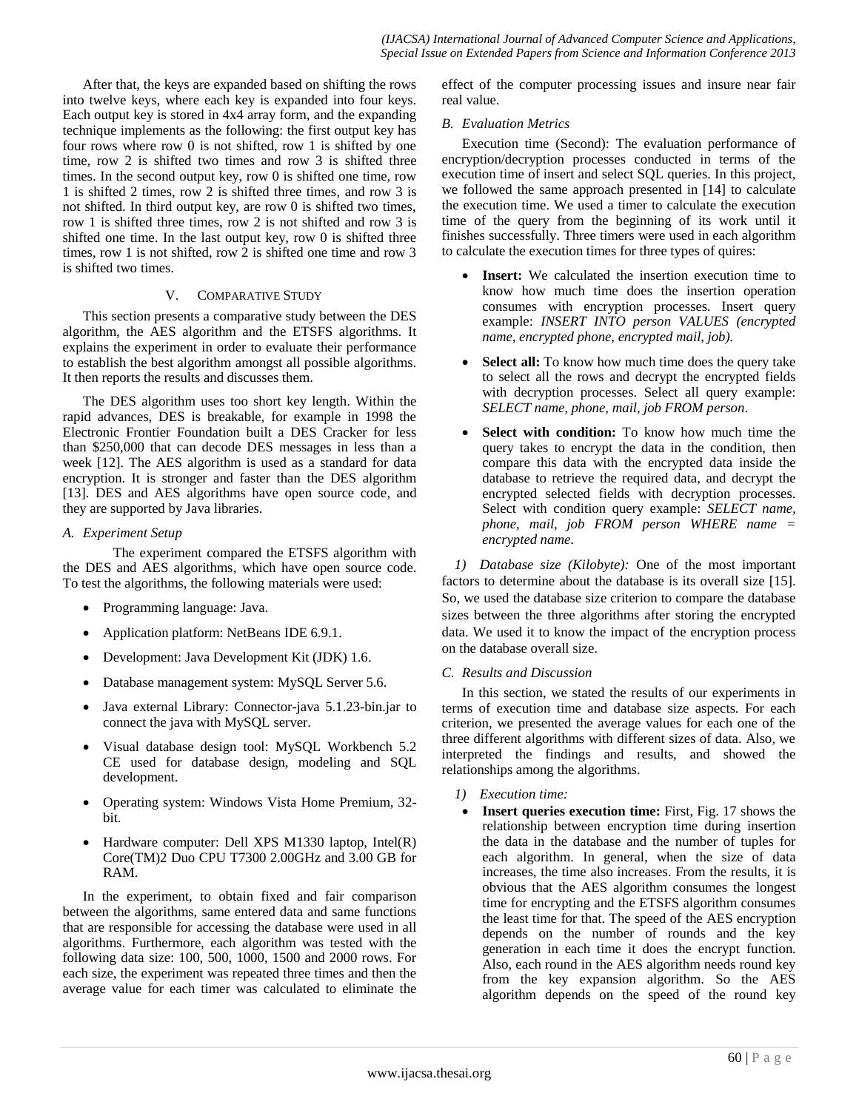After that, the keys are expanded based on shifting the rows into twelve keys, where each key is expanded into four keys. Each output key is stored in 4x4 array form, and the expanding technique implements as the following: the first output key has four rows where row 0 is not shifted, row 1 is shifted by one time, row 2 is shifted two times and row 3 is shifted three times. In the second output key, row 0 is shifted one time, row 1 is shifted 2 times, row 2 is shifted three times, and row 3 is not shifted. In third output key, are row 0 is shifted two times, row 1 is shifted three times, row 2 is not shifted and row 3 is shifted one time. In the last output key, row 0 is shifted three times, row 1 is not shifted, row  $\overline{2}$  is shifted one time and row 3 is shifted two times.

## V. COMPARATIVE STUDY

This section presents a comparative study between the DES algorithm, the AES algorithm and the ETSFS algorithms. It explains the experiment in order to evaluate their performance to establish the best algorithm amongst all possible algorithms. It then reports the results and discusses them.

The DES algorithm uses too short key length. Within the rapid advances, DES is breakable, for example in 1998 the Electronic Frontier Foundation built a DES Cracker for less than \$250,000 that can decode DES messages in less than a week [12]. The AES algorithm is used as a standard for data encryption. It is stronger and faster than the DES algorithm [13]. DES and AES algorithms have open source code, and they are supported by Java libraries.

## *A. Experiment Setup*

The experiment compared the ETSFS algorithm with the DES and AES algorithms, which have open source code. To test the algorithms, the following materials were used:

- Programming language: Java.
- Application platform: NetBeans IDE 6.9.1.
- Development: Java Development Kit (JDK) 1.6.
- Database management system: MySQL Server 5.6.
- Java external Library: Connector-java 5.1.23-bin.jar to connect the java with MySQL server.
- Visual database design tool: MySQL Workbench 5.2 CE used for database design, modeling and SQL development.
- Operating system: Windows Vista Home Premium, 32 bit.
- Hardware computer: Dell XPS M1330 laptop, Intel(R) Core(TM)2 Duo CPU T7300 2.00GHz and 3.00 GB for RAM.

In the experiment, to obtain fixed and fair comparison between the algorithms, same entered data and same functions that are responsible for accessing the database were used in all algorithms. Furthermore, each algorithm was tested with the following data size: 100, 500, 1000, 1500 and 2000 rows. For each size, the experiment was repeated three times and then the average value for each timer was calculated to eliminate the

effect of the computer processing issues and insure near fair real value.

## *B. Evaluation Metrics*

Execution time (Second): The evaluation performance of encryption/decryption processes conducted in terms of the execution time of insert and select SQL queries. In this project, we followed the same approach presented in [14] to calculate the execution time. We used a timer to calculate the execution time of the query from the beginning of its work until it finishes successfully. Three timers were used in each algorithm to calculate the execution times for three types of quires:

- **Insert:** We calculated the insertion execution time to know how much time does the insertion operation consumes with encryption processes. Insert query example: *INSERT INTO person VALUES (encrypted name, encrypted phone, encrypted mail, job).*
- **Select all:** To know how much time does the query take to select all the rows and decrypt the encrypted fields with decryption processes. Select all query example: *SELECT name, phone, mail, job FROM person*.
- **Select with condition:** To know how much time the query takes to encrypt the data in the condition, then compare this data with the encrypted data inside the database to retrieve the required data, and decrypt the encrypted selected fields with decryption processes. Select with condition query example: *SELECT name, phone, mail, job FROM person WHERE name = encrypted name*.

*1) Database size (Kilobyte):* One of the most important factors to determine about the database is its overall size [15]. So, we used the database size criterion to compare the database sizes between the three algorithms after storing the encrypted data. We used it to know the impact of the encryption process on the database overall size.

# *C. Results and Discussion*

In this section, we stated the results of our experiments in terms of execution time and database size aspects. For each criterion, we presented the average values for each one of the three different algorithms with different sizes of data. Also, we interpreted the findings and results, and showed the relationships among the algorithms.

# *1) Execution time:*

 **Insert queries execution time:** First, Fig. 17 shows the relationship between encryption time during insertion the data in the database and the number of tuples for each algorithm. In general, when the size of data increases, the time also increases. From the results, it is obvious that the AES algorithm consumes the longest time for encrypting and the ETSFS algorithm consumes the least time for that. The speed of the AES encryption depends on the number of rounds and the key generation in each time it does the encrypt function. Also, each round in the AES algorithm needs round key from the key expansion algorithm. So the AES algorithm depends on the speed of the round key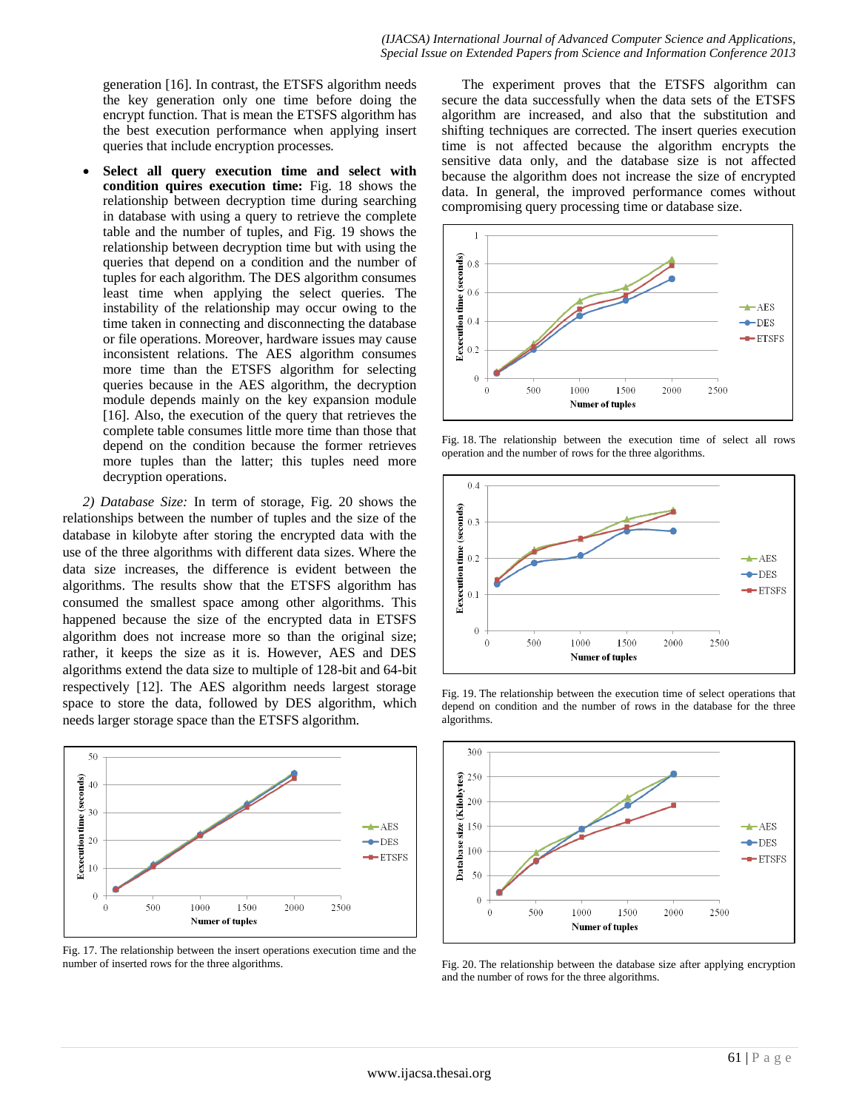generation [16]. In contrast, the ETSFS algorithm needs the key generation only one time before doing the encrypt function. That is mean the ETSFS algorithm has the best execution performance when applying insert queries that include encryption processes*.*

 **Select all query execution time and select with condition quires execution time:** Fig. 18 shows the relationship between decryption time during searching in database with using a query to retrieve the complete table and the number of tuples, and Fig. 19 shows the relationship between decryption time but with using the queries that depend on a condition and the number of tuples for each algorithm. The DES algorithm consumes least time when applying the select queries. The instability of the relationship may occur owing to the time taken in connecting and disconnecting the database or file operations. Moreover, hardware issues may cause inconsistent relations. The AES algorithm consumes more time than the ETSFS algorithm for selecting queries because in the AES algorithm, the decryption module depends mainly on the key expansion module [16]. Also, the execution of the query that retrieves the complete table consumes little more time than those that depend on the condition because the former retrieves more tuples than the latter; this tuples need more decryption operations.

*2) Database Size:* In term of storage, Fig. 20 shows the relationships between the number of tuples and the size of the database in kilobyte after storing the encrypted data with the use of the three algorithms with different data sizes. Where the data size increases, the difference is evident between the algorithms. The results show that the ETSFS algorithm has consumed the smallest space among other algorithms. This happened because the size of the encrypted data in ETSFS algorithm does not increase more so than the original size; rather, it keeps the size as it is. However, AES and DES algorithms extend the data size to multiple of 128-bit and 64-bit respectively [12]. The AES algorithm needs largest storage space to store the data, followed by DES algorithm, which needs larger storage space than the ETSFS algorithm.



Fig. 17. The relationship between the insert operations execution time and the number of inserted rows for the three algorithms.

The experiment proves that the ETSFS algorithm can secure the data successfully when the data sets of the ETSFS algorithm are increased, and also that the substitution and shifting techniques are corrected. The insert queries execution time is not affected because the algorithm encrypts the sensitive data only, and the database size is not affected because the algorithm does not increase the size of encrypted data. In general, the improved performance comes without compromising query processing time or database size.



Fig. 18. The relationship between the execution time of select all rows operation and the number of rows for the three algorithms.



Fig. 19. The relationship between the execution time of select operations that depend on condition and the number of rows in the database for the three algorithms.



Fig. 20. The relationship between the database size after applying encryption and the number of rows for the three algorithms.